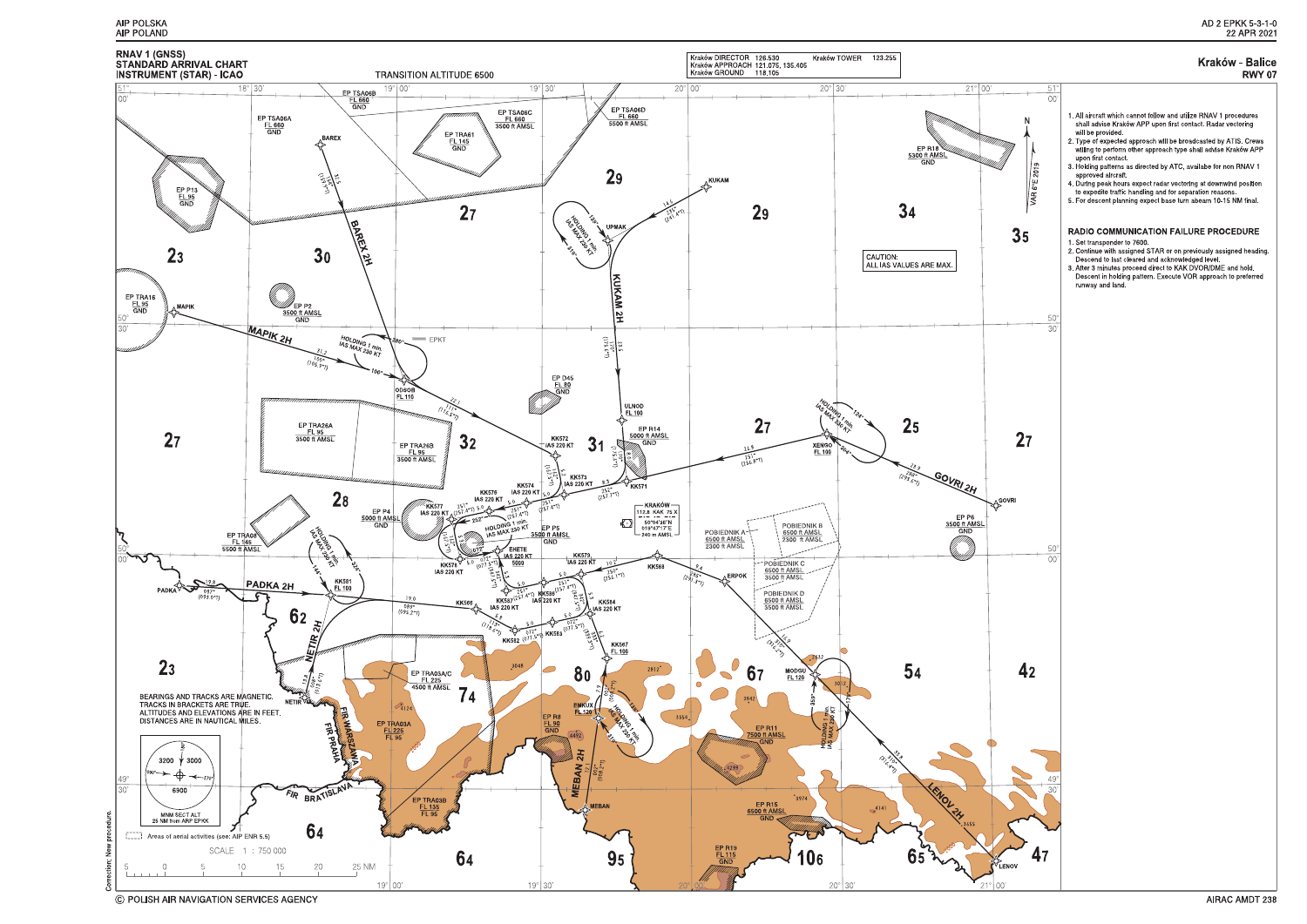



C POLISH AIR NAVIGATION SERVICES AGENCY

#### **Kraków - Balice RWY 07**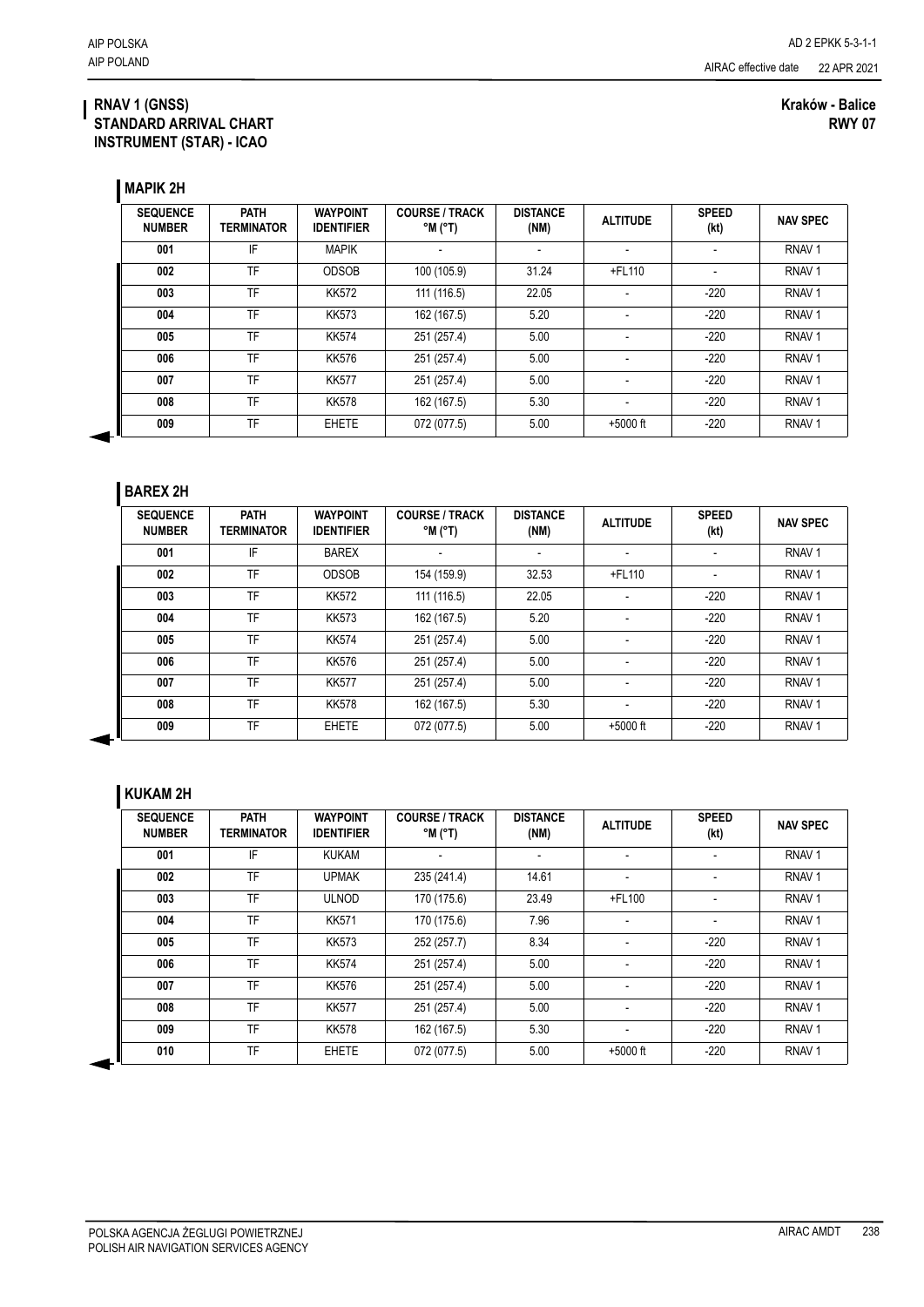#### **RNAV 1 (GNSS) STANDARD ARRIVAL CHART INSTRUMENT (STAR) - ICAO**

#### **Kraków - Balice RWY 07**

**MAPIK 2H**

| <b>SEQUENCE</b><br><b>NUMBER</b> | <b>PATH</b><br><b>TERMINATOR</b> | <b>WAYPOINT</b><br><b>IDENTIFIER</b> | <b>COURSE / TRACK</b><br>$^{\circ}$ M $^{\circ}$ T) | <b>DISTANCE</b><br>(NM) | <b>ALTITUDE</b>          | <b>SPEED</b><br>(kt)     | <b>NAV SPEC</b>   |
|----------------------------------|----------------------------------|--------------------------------------|-----------------------------------------------------|-------------------------|--------------------------|--------------------------|-------------------|
| 001                              | IF                               | <b>MAPIK</b>                         |                                                     | $\blacksquare$          | $\overline{\phantom{a}}$ |                          | RNAV <sub>1</sub> |
| 002                              | TF                               | <b>ODSOB</b>                         | 100 (105.9)                                         | 31.24                   | $+$ FL110                | $\overline{\phantom{a}}$ | RNAV <sub>1</sub> |
| 003                              | TF                               | <b>KK572</b>                         | 111 (116.5)                                         | 22.05                   | $\blacksquare$           | $-220$                   | RNAV <sub>1</sub> |
| 004                              | TF                               | <b>KK573</b>                         | 162 (167.5)                                         | 5.20                    | $\overline{\phantom{a}}$ | $-220$                   | RNAV <sub>1</sub> |
| 005                              | TF                               | <b>KK574</b>                         | 251 (257.4)                                         | 5.00                    | $\blacksquare$           | $-220$                   | RNAV <sub>1</sub> |
| 006                              | TF                               | <b>KK576</b>                         | 251 (257.4)                                         | 5.00                    | $\overline{\phantom{a}}$ | $-220$                   | RNAV <sub>1</sub> |
| 007                              | TF                               | <b>KK577</b>                         | 251 (257.4)                                         | 5.00                    | ٠                        | $-220$                   | RNAV <sub>1</sub> |
| 008                              | TF                               | <b>KK578</b>                         | 162 (167.5)                                         | 5.30                    | $\blacksquare$           | $-220$                   | RNAV <sub>1</sub> |
| 009                              | TF                               | <b>EHETE</b>                         | 072 (077.5)                                         | 5.00                    | $+5000$ ft               | $-220$                   | RNAV <sub>1</sub> |

### **BAREX 2H**

| <b>SEQUENCE</b><br><b>NUMBER</b> | <b>PATH</b><br><b>TERMINATOR</b> | <b>WAYPOINT</b><br><b>IDENTIFIER</b> | <b>COURSE / TRACK</b><br>$^{\circ}$ M ( $^{\circ}$ T) | <b>DISTANCE</b><br>(NM) | <b>ALTITUDE</b>          | <b>SPEED</b><br>(kt) | <b>NAV SPEC</b>   |
|----------------------------------|----------------------------------|--------------------------------------|-------------------------------------------------------|-------------------------|--------------------------|----------------------|-------------------|
| 001                              | IF                               | <b>BAREX</b>                         |                                                       |                         |                          |                      | RNAV <sub>1</sub> |
| 002                              | TF                               | <b>ODSOB</b>                         | 154 (159.9)                                           | 32.53                   | +FL110                   |                      | RNAV <sub>1</sub> |
| 003                              | TF                               | <b>KK572</b>                         | 111 (116.5)                                           | 22.05                   | $\overline{\phantom{a}}$ | $-220$               | RNAV <sub>1</sub> |
| 004                              | TF                               | <b>KK573</b>                         | 162 (167.5)                                           | 5.20                    |                          | $-220$               | RNAV <sub>1</sub> |
| 005                              | TF                               | <b>KK574</b>                         | 251 (257.4)                                           | 5.00                    | ٠                        | $-220$               | RNAV <sub>1</sub> |
| 006                              | TF                               | <b>KK576</b>                         | 251 (257.4)                                           | 5.00                    | ٠                        | $-220$               | RNAV <sub>1</sub> |
| 007                              | TF                               | <b>KK577</b>                         | 251 (257.4)                                           | 5.00                    | $\blacksquare$           | $-220$               | RNAV <sub>1</sub> |
| 008                              | TF                               | <b>KK578</b>                         | 162 (167.5)                                           | 5.30                    | $\overline{\phantom{a}}$ | $-220$               | RNAV <sub>1</sub> |
| 009                              | TF                               | <b>EHETE</b>                         | 072 (077.5)                                           | 5.00                    | $+5000$ ft               | $-220$               | RNAV <sub>1</sub> |

### **KUKAM 2H**

| <b>SEQUENCE</b><br><b>NUMBER</b> | <b>PATH</b><br><b>TERMINATOR</b> | <b>WAYPOINT</b><br><b>IDENTIFIER</b> | <b>COURSE / TRACK</b><br>$^{\circ}$ M $^{\circ}$ T) | <b>DISTANCE</b><br>(NM) | <b>ALTITUDE</b>          | <b>SPEED</b><br>(kt)     | <b>NAV SPEC</b>   |
|----------------------------------|----------------------------------|--------------------------------------|-----------------------------------------------------|-------------------------|--------------------------|--------------------------|-------------------|
| 001                              | IF                               | <b>KUKAM</b>                         |                                                     |                         |                          |                          | RNAV <sub>1</sub> |
| 002                              | TF                               | <b>UPMAK</b>                         | 235 (241.4)                                         | 14.61                   | $\blacksquare$           | $\overline{\phantom{a}}$ | RNAV <sub>1</sub> |
| 003                              | TF                               | <b>ULNOD</b>                         | 170 (175.6)                                         | 23.49                   | $+$ FL100                | $\overline{\phantom{0}}$ | RNAV <sub>1</sub> |
| 004                              | TF                               | <b>KK571</b>                         | 170 (175.6)                                         | 7.96                    | $\blacksquare$           | $\blacksquare$           | RNAV <sub>1</sub> |
| 005                              | TF                               | <b>KK573</b>                         | 252 (257.7)                                         | 8.34                    | $\blacksquare$           | $-220$                   | RNAV <sub>1</sub> |
| 006                              | <b>TF</b>                        | <b>KK574</b>                         | 251 (257.4)                                         | 5.00                    | $\overline{\phantom{a}}$ | $-220$                   | RNAV <sub>1</sub> |
| 007                              | TF                               | <b>KK576</b>                         | 251 (257.4)                                         | 5.00                    | $\blacksquare$           | $-220$                   | RNAV <sub>1</sub> |
| 008                              | TF                               | <b>KK577</b>                         | 251 (257.4)                                         | 5.00                    | $\blacksquare$           | $-220$                   | RNAV <sub>1</sub> |
| 009                              | <b>TF</b>                        | <b>KK578</b>                         | 162 (167.5)                                         | 5.30                    | $\blacksquare$           | $-220$                   | RNAV <sub>1</sub> |
| 010                              | TF                               | <b>EHETE</b>                         | 072 (077.5)                                         | 5.00                    | $+5000$ ft               | $-220$                   | RNAV <sub>1</sub> |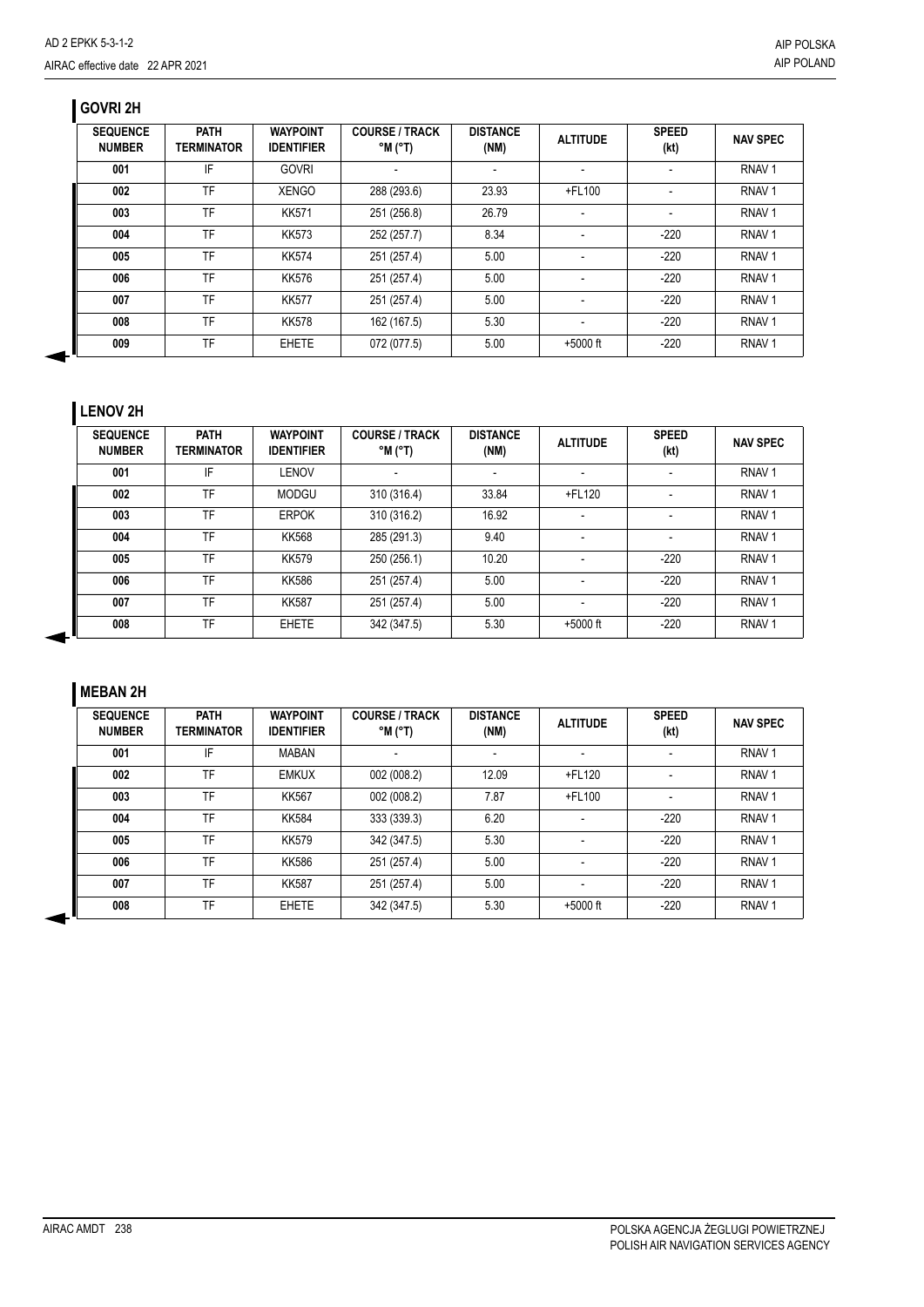# **GOVRI 2H**

| <b>SEQUENCE</b><br><b>NUMBER</b> | <b>PATH</b><br><b>TERMINATOR</b> | <b>WAYPOINT</b><br><b>IDENTIFIER</b> | <b>COURSE / TRACK</b><br>$^{\circ}$ M ( $^{\circ}$ T) | <b>DISTANCE</b><br>(NM) | <b>ALTITUDE</b>          | <b>SPEED</b><br>(kt) | <b>NAV SPEC</b>   |
|----------------------------------|----------------------------------|--------------------------------------|-------------------------------------------------------|-------------------------|--------------------------|----------------------|-------------------|
| 001                              | IF                               | <b>GOVRI</b>                         |                                                       |                         | $\overline{\phantom{a}}$ |                      | RNAV <sub>1</sub> |
| 002                              | TF                               | <b>XENGO</b>                         | 288 (293.6)                                           | 23.93                   | +FL100                   |                      | RNAV <sub>1</sub> |
| 003                              | TF                               | <b>KK571</b>                         | 251 (256.8)                                           | 26.79                   | $\blacksquare$           |                      | RNAV <sub>1</sub> |
| 004                              | TF                               | <b>KK573</b>                         | 252 (257.7)                                           | 8.34                    |                          | $-220$               | RNAV <sub>1</sub> |
| 005                              | TF                               | <b>KK574</b>                         | 251 (257.4)                                           | 5.00                    | $\overline{\phantom{a}}$ | $-220$               | RNAV <sub>1</sub> |
| 006                              | <b>TF</b>                        | <b>KK576</b>                         | 251 (257.4)                                           | 5.00                    |                          | $-220$               | RNAV <sub>1</sub> |
| 007                              | TF                               | <b>KK577</b>                         | 251 (257.4)                                           | 5.00                    | $\overline{\phantom{a}}$ | $-220$               | RNAV <sub>1</sub> |
| 008                              | TF                               | <b>KK578</b>                         | 162 (167.5)                                           | 5.30                    |                          | $-220$               | RNAV <sub>1</sub> |
| 009                              | TF                               | <b>EHETE</b>                         | 072 (077.5)                                           | 5.00                    | $+5000$ ft               | $-220$               | RNAV <sub>1</sub> |

# **LENOV 2H**

| <b>SEQUENCE</b><br><b>NUMBER</b> | <b>PATH</b><br><b>TERMINATOR</b> | <b>WAYPOINT</b><br><b>IDENTIFIER</b> | <b>COURSE / TRACK</b><br>$(T^{\circ})$ M $^{\circ}$ | <b>DISTANCE</b><br>(NM) | <b>ALTITUDE</b>          | <b>SPEED</b><br>(kt) | <b>NAV SPEC</b>   |
|----------------------------------|----------------------------------|--------------------------------------|-----------------------------------------------------|-------------------------|--------------------------|----------------------|-------------------|
| 001                              | IF                               | LENOV                                | ۰                                                   |                         | $\overline{\phantom{a}}$ |                      | RNAV <sub>1</sub> |
| 002                              | TF                               | <b>MODGU</b>                         | 310 (316.4)                                         | 33.84                   | $+$ FL120                |                      | RNAV <sub>1</sub> |
| 003                              | TF                               | <b>ERPOK</b>                         | 310 (316.2)                                         | 16.92                   |                          |                      | RNAV <sub>1</sub> |
| 004                              | TF                               | <b>KK568</b>                         | 285 (291.3)                                         | 9.40                    |                          |                      | RNAV <sub>1</sub> |
| 005                              | TF                               | <b>KK579</b>                         | 250 (256.1)                                         | 10.20                   | $\overline{\phantom{a}}$ | $-220$               | RNAV <sub>1</sub> |
| 006                              | TF                               | <b>KK586</b>                         | 251 (257.4)                                         | 5.00                    |                          | $-220$               | RNAV <sub>1</sub> |
| 007                              | TF                               | <b>KK587</b>                         | 251 (257.4)                                         | 5.00                    |                          | $-220$               | RNAV <sub>1</sub> |
| 008                              | TF                               | <b>EHETE</b>                         | 342 (347.5)                                         | 5.30                    | $+5000$ ft               | $-220$               | RNAV <sub>1</sub> |

# **MEBAN 2H**

◀

| <b>SEQUENCE</b><br><b>NUMBER</b> | <b>PATH</b><br><b>TERMINATOR</b> | <b>WAYPOINT</b><br><b>IDENTIFIER</b> | <b>COURSE / TRACK</b><br>$^{\circ}$ M $^{\circ}$ T) | <b>DISTANCE</b><br>(NM) | <b>ALTITUDE</b>          | <b>SPEED</b><br>(kt) | <b>NAV SPEC</b>   |
|----------------------------------|----------------------------------|--------------------------------------|-----------------------------------------------------|-------------------------|--------------------------|----------------------|-------------------|
| 001                              | IF                               | <b>MABAN</b>                         |                                                     |                         |                          |                      | RNAV <sub>1</sub> |
| 002                              | TF                               | <b>EMKUX</b>                         | 002 (008.2)                                         | 12.09                   | +FL120                   |                      | RNAV <sub>1</sub> |
| 003                              | TF                               | KK567                                | 002 (008.2)                                         | 7.87                    | +FL100                   |                      | RNAV <sub>1</sub> |
| 004                              | TF                               | <b>KK584</b>                         | 333 (339.3)                                         | 6.20                    | $\overline{\phantom{a}}$ | $-220$               | RNAV <sub>1</sub> |
| 005                              | TF                               | <b>KK579</b>                         | 342 (347.5)                                         | 5.30                    |                          | $-220$               | RNAV <sub>1</sub> |
| 006                              | TF                               | <b>KK586</b>                         | 251 (257.4)                                         | 5.00                    |                          | $-220$               | RNAV <sub>1</sub> |
| 007                              | TF                               | <b>KK587</b>                         | 251 (257.4)                                         | 5.00                    |                          | $-220$               | RNAV <sub>1</sub> |
| 008                              | TF                               | <b>EHETE</b>                         | 342 (347.5)                                         | 5.30                    | $+5000$ ft               | $-220$               | RNAV <sub>1</sub> |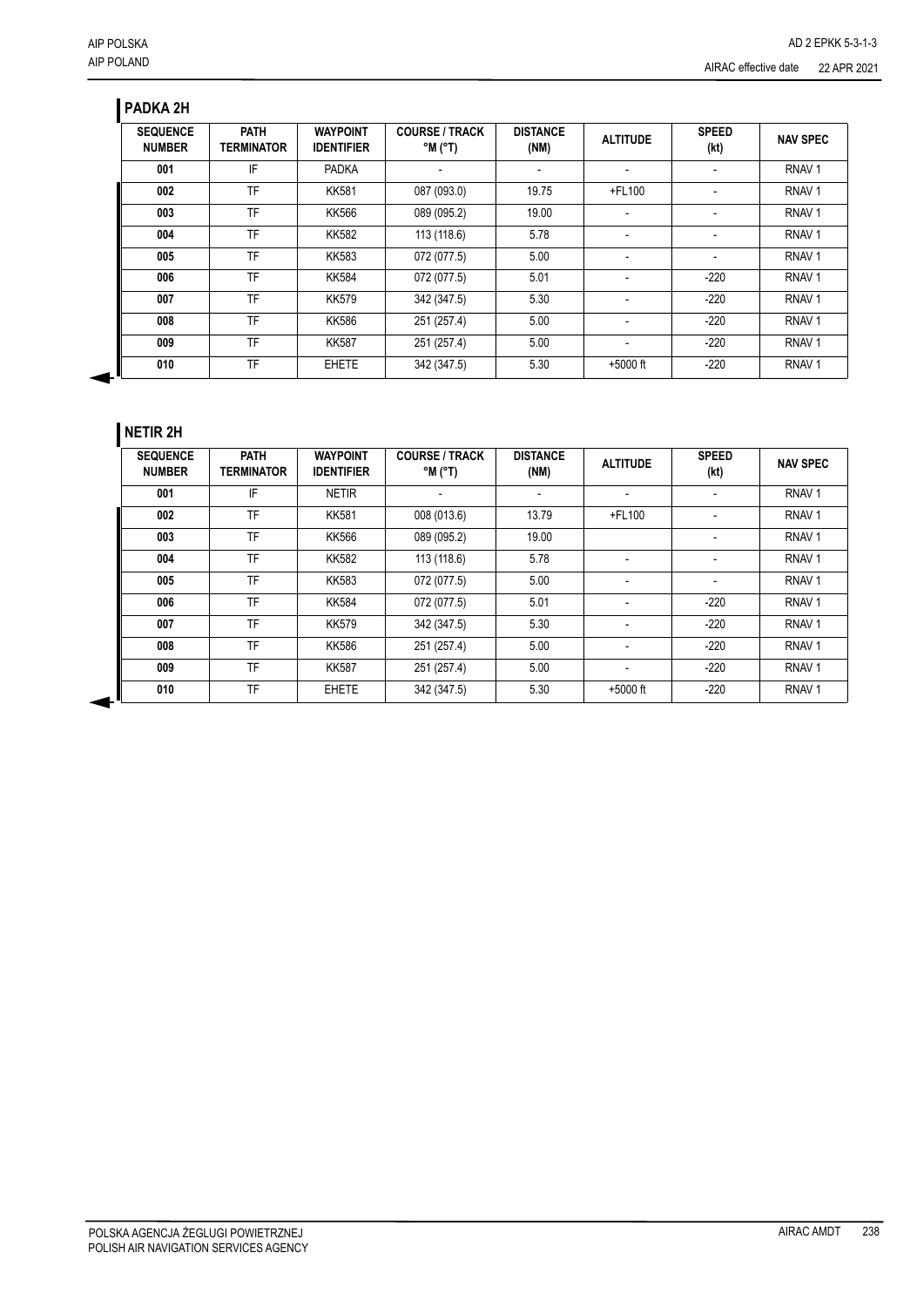## **PADKA 2H**

| <b>SEQUENCE</b><br><b>NUMBER</b> | <b>PATH</b><br><b>TERMINATOR</b> | <b>WAYPOINT</b><br><b>IDENTIFIER</b> | <b>COURSE / TRACK</b><br>$^{\circ}$ M $^{\circ}$ T) | <b>DISTANCE</b><br>(NM) | <b>ALTITUDE</b> | <b>SPEED</b><br>(kt) | <b>NAV SPEC</b>   |
|----------------------------------|----------------------------------|--------------------------------------|-----------------------------------------------------|-------------------------|-----------------|----------------------|-------------------|
| 001                              | IF                               | <b>PADKA</b>                         |                                                     |                         |                 |                      | RNAV <sub>1</sub> |
| 002                              | TF                               | <b>KK581</b>                         | 087 (093.0)                                         | 19.75                   | +FL100          |                      | RNAV <sub>1</sub> |
| 003                              | TF                               | <b>KK566</b>                         | 089 (095.2)                                         | 19.00                   |                 |                      | RNAV <sub>1</sub> |
| 004                              | TF                               | <b>KK582</b>                         | 113 (118.6)                                         | 5.78                    | ٠               |                      | RNAV <sub>1</sub> |
| 005                              | <b>TF</b>                        | <b>KK583</b>                         | 072 (077.5)                                         | 5.00                    |                 |                      | RNAV <sub>1</sub> |
| 006                              | TF                               | <b>KK584</b>                         | 072 (077.5)                                         | 5.01                    |                 | $-220$               | RNAV <sub>1</sub> |
| 007                              | TF                               | <b>KK579</b>                         | 342 (347.5)                                         | 5.30                    | ٠               | $-220$               | RNAV <sub>1</sub> |
| 008                              | TF                               | <b>KK586</b>                         | 251 (257.4)                                         | 5.00                    |                 | $-220$               | RNAV <sub>1</sub> |
| 009                              | TF                               | <b>KK587</b>                         | 251 (257.4)                                         | 5.00                    | ٠               | $-220$               | RNAV <sub>1</sub> |
| 010                              | TF                               | <b>EHETE</b>                         | 342 (347.5)                                         | 5.30                    | $+5000$ ft      | $-220$               | RNAV <sub>1</sub> |

## **NETIR 2H**

| <b>SEQUENCE</b><br><b>NUMBER</b> | <b>PATH</b><br><b>TERMINATOR</b> | <b>WAYPOINT</b><br><b>IDENTIFIER</b> | <b>COURSE / TRACK</b><br>$^{\circ}$ M ( $^{\circ}$ T) | <b>DISTANCE</b><br>(NM) | <b>ALTITUDE</b>          | <b>SPEED</b><br>(kt) | <b>NAV SPEC</b>   |
|----------------------------------|----------------------------------|--------------------------------------|-------------------------------------------------------|-------------------------|--------------------------|----------------------|-------------------|
| 001                              | IF                               | <b>NETIR</b>                         |                                                       |                         |                          |                      | RNAV <sub>1</sub> |
| 002                              | <b>TF</b>                        | <b>KK581</b>                         | 008 (013.6)                                           | 13.79                   | +FL100                   | ٠                    | RNAV <sub>1</sub> |
| 003                              | TF                               | KK566                                | 089 (095.2)                                           | 19.00                   |                          |                      | RNAV <sub>1</sub> |
| 004                              | TF                               | <b>KK582</b>                         | 113 (118.6)                                           | 5.78                    | $\overline{\phantom{a}}$ |                      | RNAV <sub>1</sub> |
| 005                              | TF                               | <b>KK583</b>                         | 072 (077.5)                                           | 5.00                    | $\blacksquare$           |                      | RNAV <sub>1</sub> |
| 006                              | TF                               | <b>KK584</b>                         | 072 (077.5)                                           | 5.01                    | $\blacksquare$           | $-220$               | RNAV <sub>1</sub> |
| 007                              | TF                               | <b>KK579</b>                         | 342 (347.5)                                           | 5.30                    | ٠                        | $-220$               | RNAV <sub>1</sub> |
| 008                              | TF                               | <b>KK586</b>                         | 251 (257.4)                                           | 5.00                    | ٠                        | $-220$               | RNAV <sub>1</sub> |
| 009                              | <b>TF</b>                        | <b>KK587</b>                         | 251 (257.4)                                           | 5.00                    | ٠                        | $-220$               | RNAV <sub>1</sub> |
| 010                              | TF                               | <b>EHETE</b>                         | 342 (347.5)                                           | 5.30                    | $+5000$ ft               | $-220$               | RNAV <sub>1</sub> |